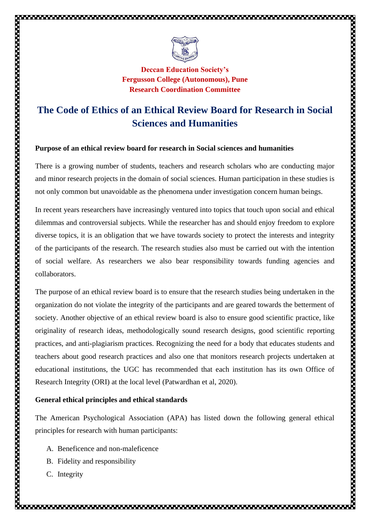

**Deccan Education Society's Fergusson College (Autonomous), Pune Research Coordination Committee**

# **The Code of Ethics of an Ethical Review Board for Research in Social Sciences and Humanities**

#### **Purpose of an ethical review board for research in Social sciences and humanities**

There is a growing number of students, teachers and research scholars who are conducting major and minor research projects in the domain of social sciences. Human participation in these studies is not only common but unavoidable as the phenomena under investigation concern human beings.

In recent years researchers have increasingly ventured into topics that touch upon social and ethical dilemmas and controversial subjects. While the researcher has and should enjoy freedom to explore diverse topics, it is an obligation that we have towards society to protect the interests and integrity of the participants of the research. The research studies also must be carried out with the intention of social welfare. As researchers we also bear responsibility towards funding agencies and collaborators.

The purpose of an ethical review board is to ensure that the research studies being undertaken in the organization do not violate the integrity of the participants and are geared towards the betterment of society. Another objective of an ethical review board is also to ensure good scientific practice, like originality of research ideas, methodologically sound research designs, good scientific reporting practices, and anti-plagiarism practices. Recognizing the need for a body that educates students and teachers about good research practices and also one that monitors research projects undertaken at educational institutions, the UGC has recommended that each institution has its own Office of Research Integrity (ORI) at the local level (Patwardhan et al, 2020).

#### **General ethical principles and ethical standards**

The American Psychological Association (APA) has listed down the following general ethical principles for research with human participants:

- A. Beneficence and non-maleficence
- B. Fidelity and responsibility
- C. Integrity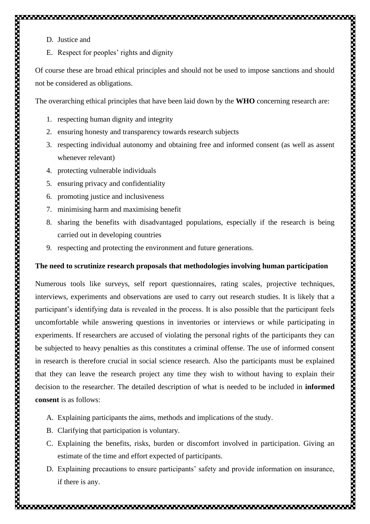E. Respect for peoples' rights and dignity

Of course these are broad ethical principles and should not be used to impose sanctions and should not be considered as obligations.

The overarching ethical principles that have been laid down by the **WHO** concerning research are:

- 1. respecting human dignity and integrity
- 2. ensuring honesty and transparency towards research subjects
- 3. respecting individual autonomy and obtaining free and informed consent (as well as assent whenever relevant)
- 4. protecting vulnerable individuals
- 5. ensuring privacy and confidentiality
- 6. promoting justice and inclusiveness
- 7. minimising harm and maximising benefit
- 8. sharing the benefits with disadvantaged populations, especially if the research is being carried out in developing countries
- 9. respecting and protecting the environment and future generations.

### **The need to scrutinize research proposals that methodologies involving human participation**

Numerous tools like surveys, self report questionnaires, rating scales, projective techniques, interviews, experiments and observations are used to carry out research studies. It is likely that a participant's identifying data is revealed in the process. It is also possible that the participant feels uncomfortable while answering questions in inventories or interviews or while participating in experiments. If researchers are accused of violating the personal rights of the participants they can be subjected to heavy penalties as this constitutes a criminal offense. The use of informed consent in research is therefore crucial in social science research. Also the participants must be explained that they can leave the research project any time they wish to without having to explain their decision to the researcher. The detailed description of what is needed to be included in **informed consent** is as follows:

- A. Explaining participants the aims, methods and implications of the study.
- B. Clarifying that participation is voluntary.
- C. Explaining the benefits, risks, burden or discomfort involved in participation. Giving an estimate of the time and effort expected of participants.
- D. Explaining precautions to ensure participants' safety and provide information on insurance, if there is any.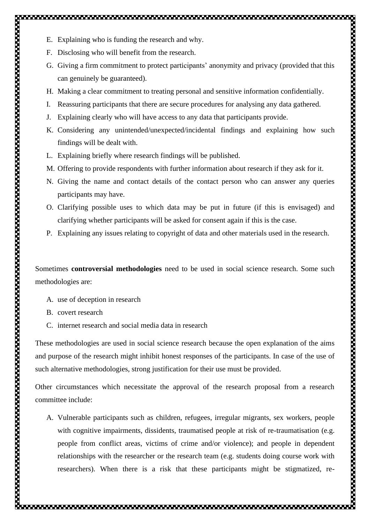- E. Explaining who is funding the research and why.
- F. Disclosing who will benefit from the research.
- G. Giving a firm commitment to protect participants' anonymity and privacy (provided that this can genuinely be guaranteed).
- H. Making a clear commitment to treating personal and sensitive information confidentially.
- I. Reassuring participants that there are secure procedures for analysing any data gathered.
- J. Explaining clearly who will have access to any data that participants provide.
- K. Considering any unintended/unexpected/incidental findings and explaining how such findings will be dealt with.
- L. Explaining briefly where research findings will be published.
- M. Offering to provide respondents with further information about research if they ask for it.
- N. Giving the name and contact details of the contact person who can answer any queries participants may have.
- O. Clarifying possible uses to which data may be put in future (if this is envisaged) and clarifying whether participants will be asked for consent again if this is the case.
- P. Explaining any issues relating to copyright of data and other materials used in the research.

Sometimes **controversial methodologies** need to be used in social science research. Some such methodologies are:

- A. use of deception in research
- B. covert research
- C. internet research and social media data in research

These methodologies are used in social science research because the open explanation of the aims and purpose of the research might inhibit honest responses of the participants. In case of the use of such alternative methodologies, strong justification for their use must be provided.

Other circumstances which necessitate the approval of the research proposal from a research committee include:

A. Vulnerable participants such as children, refugees, irregular migrants, sex workers, people with cognitive impairments, dissidents, traumatised people at risk of re-traumatisation (e.g. people from conflict areas, victims of crime and/or violence); and people in dependent relationships with the researcher or the research team (e.g. students doing course work with researchers). When there is a risk that these participants might be stigmatized, re-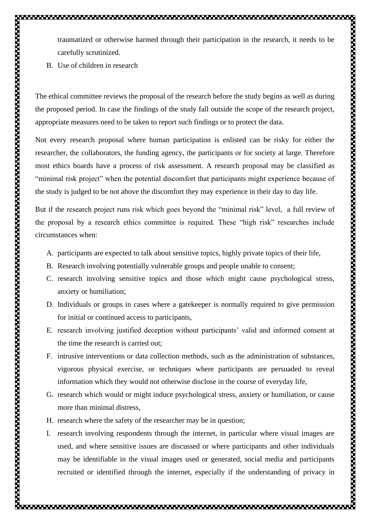traumatized or otherwise harmed through their participation in the research, it needs to be carefully scrutinized.

B. Use of children in research

The ethical committee reviews the proposal of the research before the study begins as well as during the proposed period. In case the findings of the study fall outside the scope of the research project, appropriate measures need to be taken to report such findings or to protect the data.

Not every research proposal where human participation is enlisted can be risky for either the researcher, the collaborators, the funding agency, the participants or for society at large. Therefore most ethics boards have a process of risk assessment. A research proposal may be classified as "minimal risk project" when the potential discomfort that participants might experience because of the study is judged to be not above the discomfort they may experience in their day to day life.

But if the research project runs risk which goes beyond the "minimal risk" level, a full review of the proposal by a research ethics committee is required. These "high risk" researches include circumstances when:

- A. participants are expected to talk about sensitive topics, highly private topics of their life,
- B. Research involving potentially vulnerable groups and people unable to consent;
- C. research involving sensitive topics and those which might cause psychological stress, anxiety or humiliation;

- D. Individuals or groups in cases where a gatekeeper is normally required to give permission for initial or continued access to participants,
- E. research involving justified deception without participants' valid and informed consent at the time the research is carried out;
- F. intrusive interventions or data collection methods, such as the administration of substances, vigorous physical exercise, or techniques where participants are persuaded to reveal information which they would not otherwise disclose in the course of everyday life,
- G. research which would or might induce psychological stress, anxiety or humiliation, or cause more than minimal distress,
- H. research where the safety of the researcher may be in question;

I. research involving respondents through the internet, in particular where visual images are used, and where sensitive issues are discussed or where participants and other individuals may be identifiable in the visual images used or generated, social media and participants recruited or identified through the internet, especially if the understanding of privacy in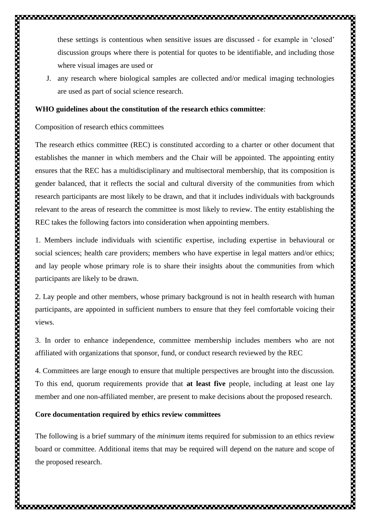these settings is contentious when sensitive issues are discussed - for example in 'closed' discussion groups where there is potential for quotes to be identifiable, and including those where visual images are used or

J. any research where biological samples are collected and/or medical imaging technologies are used as part of social science research.

### **WHO guidelines about the constitution of the research ethics committee**:

## Composition of research ethics committees

The research ethics committee (REC) is constituted according to a charter or other document that establishes the manner in which members and the Chair will be appointed. The appointing entity ensures that the REC has a multidisciplinary and multisectoral membership, that its composition is gender balanced, that it reflects the social and cultural diversity of the communities from which research participants are most likely to be drawn, and that it includes individuals with backgrounds relevant to the areas of research the committee is most likely to review. The entity establishing the REC takes the following factors into consideration when appointing members.

1. Members include individuals with scientific expertise, including expertise in behavioural or social sciences; health care providers; members who have expertise in legal matters and/or ethics; and lay people whose primary role is to share their insights about the communities from which participants are likely to be drawn.

2. Lay people and other members, whose primary background is not in health research with human participants, are appointed in sufficient numbers to ensure that they feel comfortable voicing their

3. In order to enhance independence, committee membership includes members who are not affiliated with organizations that sponsor, fund, or conduct research reviewed by the REC

4. Committees are large enough to ensure that multiple perspectives are brought into the discussion. To this end, quorum requirements provide that **at least five** people, including at least one lay member and one non-affiliated member, are present to make decisions about the proposed research.

## **Core documentation required by ethics review committees**

The following is a brief summary of the *minimum* items required for submission to an ethics review board or committee. Additional items that may be required will depend on the nature and scope of the proposed research.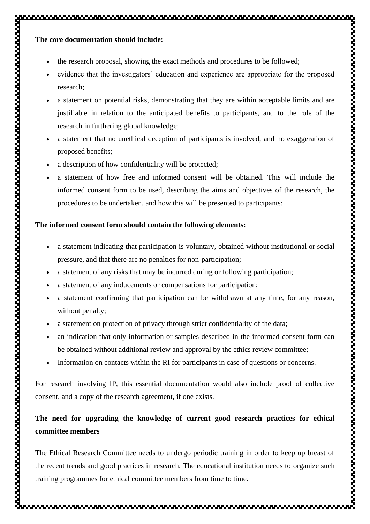# **The core documentation should include:**

- the research proposal, showing the exact methods and procedures to be followed;
- evidence that the investigators' education and experience are appropriate for the proposed research;
- a statement on potential risks, demonstrating that they are within acceptable limits and are justifiable in relation to the anticipated benefits to participants, and to the role of the research in furthering global knowledge;
- a statement that no unethical deception of participants is involved, and no exaggeration of proposed benefits;
- a description of how confidentiality will be protected;
- a statement of how free and informed consent will be obtained. This will include the informed consent form to be used, describing the aims and objectives of the research, the procedures to be undertaken, and how this will be presented to participants;

#### **The informed consent form should contain the following elements:**

- a statement indicating that participation is voluntary, obtained without institutional or social pressure, and that there are no penalties for non-participation;
- a statement of any risks that may be incurred during or following participation;
- a statement of any inducements or compensations for participation;
- a statement confirming that participation can be withdrawn at any time, for any reason, without penalty;
- a statement on protection of privacy through strict confidentiality of the data;
- an indication that only information or samples described in the informed consent form can be obtained without additional review and approval by the ethics review committee;
- Information on contacts within the RI for participants in case of questions or concerns.

For research involving IP, this essential documentation would also include proof of collective consent, and a copy of the research agreement, if one exists.

# **The need for upgrading the knowledge of current good research practices for ethical committee members**

The Ethical Research Committee needs to undergo periodic training in order to keep up breast of the recent trends and good practices in research. The educational institution needs to organize such training programmes for ethical committee members from time to time.